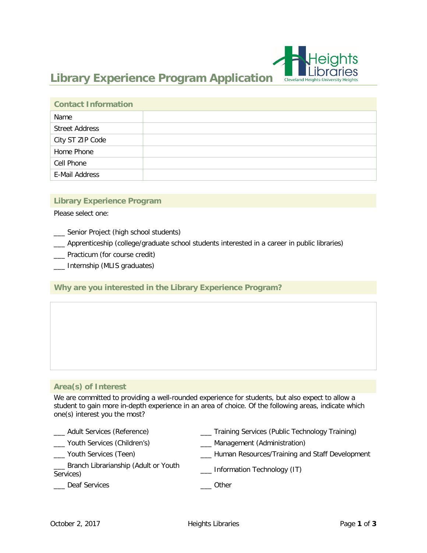

# **Library Experience Program Application**

| <b>Contact Information</b> |  |
|----------------------------|--|
| Name                       |  |
| <b>Street Address</b>      |  |
| City ST ZIP Code           |  |
| Home Phone                 |  |
| Cell Phone                 |  |
| E-Mail Address             |  |

#### **Library Experience Program**

Please select one:

- \_\_\_ Senior Project (high school students)
- \_\_\_ Apprenticeship (college/graduate school students interested in a career in public libraries)
- \_\_\_ Practicum (for course credit)
- \_\_\_ Internship (MLIS graduates)

## **Why are you interested in the Library Experience Program?**

## **Area(s) of Interest**

We are committed to providing a well-rounded experience for students, but also expect to allow a student to gain more in-depth experience in an area of choice. Of the following areas, indicate which one(s) interest you the most?

- \_\_\_ Adult Services (Reference) \_\_\_ Training Services (Public Technology Training) \_\_\_ Youth Services (Children's) \_\_\_ Management (Administration)
- 
- 
- \_\_\_ Youth Services (Teen) \_\_\_ Human Resources/Training and Staff Development
- \_\_\_ Branch Librarianship (Adult or Youth Services) **Exercise Services** CHO CHORN CHORN CHORN CHORN CHORNICS CHORNICS Services
- 
- 
- Leaf Services and the contract of the Deaf Services and the contract of the contract of the contract of the contract of the contract of the contract of the contract of the contract of the contract of the contract of the co
	-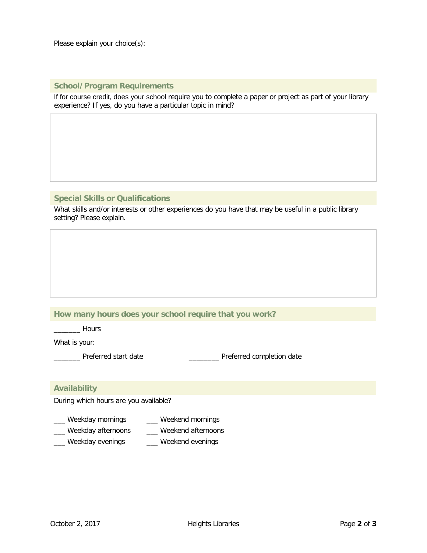Please explain your choice(s):

#### **School/Program Requirements**

If for course credit, does your school require you to complete a paper or project as part of your library experience? If yes, do you have a particular topic in mind?

## **Special Skills or Qualifications**

What skills and/or interests or other experiences do you have that may be useful in a public library setting? Please explain.

## **How many hours does your school require that you work?**

\_\_\_\_\_\_\_ Hours

What is your:

\_\_\_\_\_ Preferred start date \_\_\_\_\_\_\_\_\_\_\_\_\_\_\_\_\_ Preferred completion date

## **Availability**

During which hours are you available?

- \_\_\_ Weekday mornings \_\_\_ Weekend mornings
- \_\_\_ Weekday afternoons \_\_\_ Weekend afternoons
- \_\_\_ Weekday evenings \_\_\_ Weekend evenings